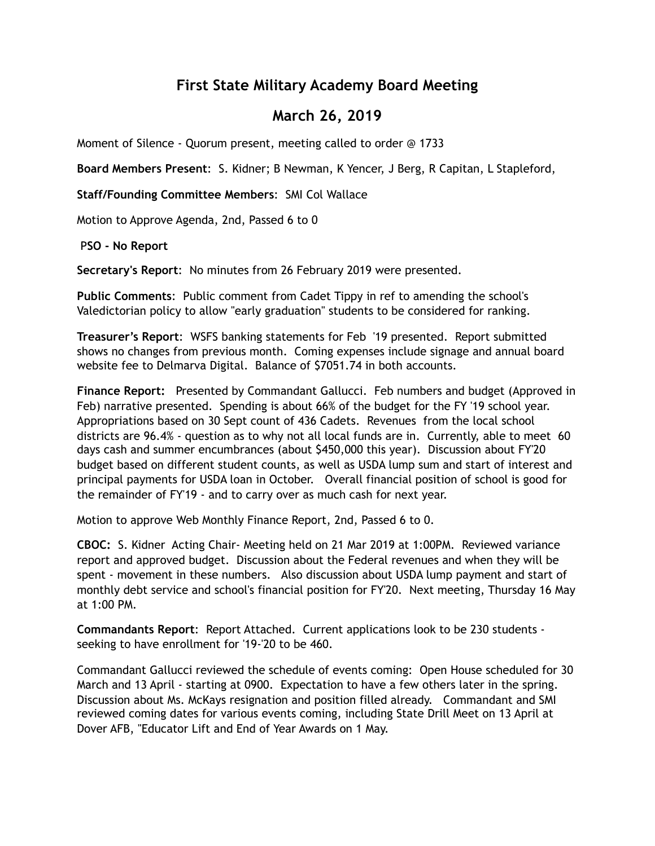## **First State Military Academy Board Meeting**

## **March 26, 2019**

Moment of Silence - Quorum present, meeting called to order @ 1733

**Board Members Present**: S. Kidner; B Newman, K Yencer, J Berg, R Capitan, L Stapleford,

**Staff/Founding Committee Members**: SMI Col Wallace

Motion to Approve Agenda, 2nd, Passed 6 to 0

P**SO - No Report** 

**Secretary's Report**: No minutes from 26 February 2019 were presented.

**Public Comments**: Public comment from Cadet Tippy in ref to amending the school's Valedictorian policy to allow "early graduation" students to be considered for ranking.

**Treasurer's Report**: WSFS banking statements for Feb '19 presented. Report submitted shows no changes from previous month. Coming expenses include signage and annual board website fee to Delmarva Digital. Balance of \$7051.74 in both accounts.

**Finance Report:** Presented by Commandant Gallucci. Feb numbers and budget (Approved in Feb) narrative presented. Spending is about 66% of the budget for the FY '19 school year. Appropriations based on 30 Sept count of 436 Cadets. Revenues from the local school districts are 96.4% - question as to why not all local funds are in. Currently, able to meet 60 days cash and summer encumbrances (about \$450,000 this year). Discussion about FY'20 budget based on different student counts, as well as USDA lump sum and start of interest and principal payments for USDA loan in October. Overall financial position of school is good for the remainder of FY'19 - and to carry over as much cash for next year.

Motion to approve Web Monthly Finance Report, 2nd, Passed 6 to 0.

**CBOC:** S. Kidner Acting Chair- Meeting held on 21 Mar 2019 at 1:00PM. Reviewed variance report and approved budget. Discussion about the Federal revenues and when they will be spent - movement in these numbers. Also discussion about USDA lump payment and start of monthly debt service and school's financial position for FY'20. Next meeting, Thursday 16 May at  $1:00$  PM

**Commandants Report**: Report Attached. Current applications look to be 230 students seeking to have enrollment for '19-'20 to be 460.

Commandant Gallucci reviewed the schedule of events coming: Open House scheduled for 30 March and 13 April - starting at 0900. Expectation to have a few others later in the spring. Discussion about Ms. McKays resignation and position filled already. Commandant and SMI reviewed coming dates for various events coming, including State Drill Meet on 13 April at Dover AFB, "Educator Lift and End of Year Awards on 1 May.